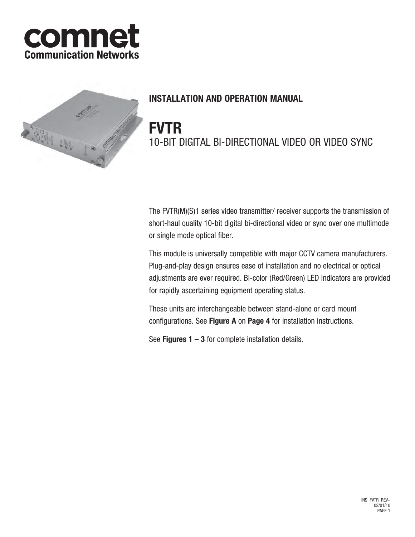



# **INSTALLATION AND OPERATION MANUAL**

# **FVTR** 10-BIT DIGITAL BI-DIRECTIONAL VIDEO OR VIDEO SYNC

The FVTR(M)(S)1 series video transmitter/ receiver supports the transmission of short-haul quality 10-bit digital bi-directional video or sync over one multimode or single mode optical fiber.

This module is universally compatible with major CCTV camera manufacturers. Plug-and-play design ensures ease of installation and no electrical or optical adjustments are ever required. Bi-color (Red/Green) LED indicators are provided for rapidly ascertaining equipment operating status.

These units are interchangeable between stand-alone or card mount configurations. See **Figure A** on **Page 4** for installation instructions.

See **Figures 1 – 3** for complete installation details.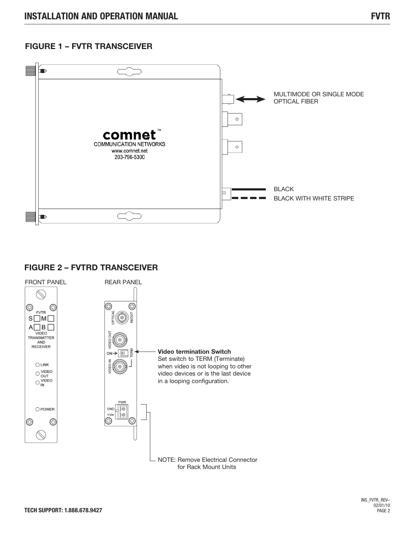### **FIGURE 1 – FVTR TRANSCEIVER**



### **FIGURE 2 – FVTRD TRANSCEIVER**

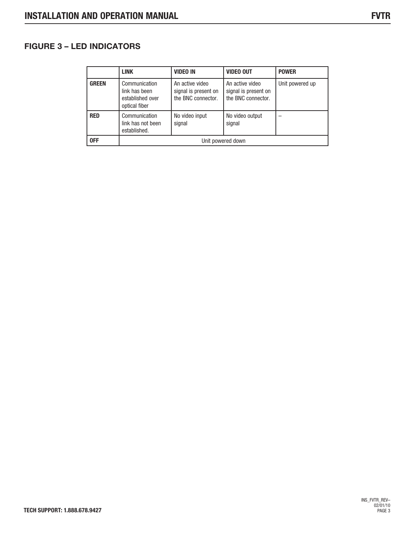# **FIGURE 3 – LED INDICATORS**

|              | <b>LINK</b>                                                         | <b>VIDEO IN</b>                                               | <b>VIDEO OUT</b>                                              | <b>POWER</b>    |
|--------------|---------------------------------------------------------------------|---------------------------------------------------------------|---------------------------------------------------------------|-----------------|
| <b>GREEN</b> | Communication<br>link has been<br>established over<br>optical fiber | An active video<br>signal is present on<br>the BNC connector. | An active video<br>signal is present on<br>the BNC connector. | Unit powered up |
| <b>RED</b>   | Communication<br>link has not been<br>established.                  | No video input<br>signal                                      | No video output<br>signal                                     |                 |
| 0FF          | Unit powered down                                                   |                                                               |                                                               |                 |